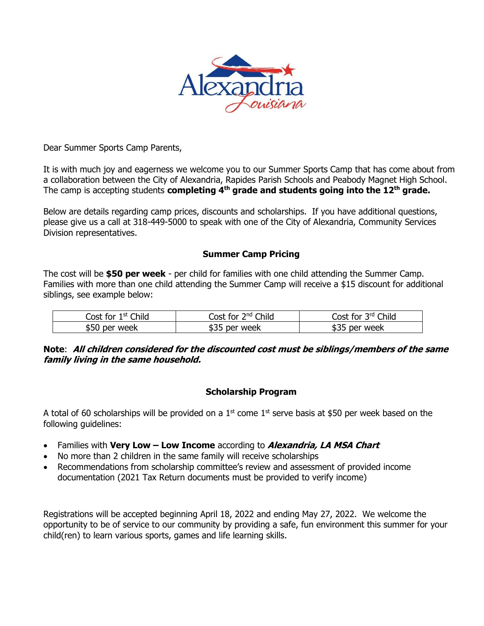

Dear Summer Sports Camp Parents,

It is with much joy and eagerness we welcome you to our Summer Sports Camp that has come about from a collaboration between the City of Alexandria, Rapides Parish Schools and Peabody Magnet High School. The camp is accepting students **completing 4th grade and students going into the 12th grade.**

Below are details regarding camp prices, discounts and scholarships. If you have additional questions, please give us a call at 318-449-5000 to speak with one of the City of Alexandria, Community Services Division representatives.

# **Summer Camp Pricing**

The cost will be **\$50 per week** - per child for families with one child attending the Summer Camp. Families with more than one child attending the Summer Camp will receive a \$15 discount for additional siblings, see example below:

| <b>Thila</b><br>1 st<br>ost for: | $2nd$ Child<br>lost for l | Child<br><b>2rd</b><br>lost for |
|----------------------------------|---------------------------|---------------------------------|
| week<br>ור<br>ner                | week<br>า⊖r               | week<br>. ner i                 |

**Note**: **All children considered for the discounted cost must be siblings/members of the same family living in the same household.**

# **Scholarship Program**

A total of 60 scholarships will be provided on a  $1<sup>st</sup>$  come  $1<sup>st</sup>$  serve basis at \$50 per week based on the following guidelines:

- Families with **Very Low – Low Income** according to **Alexandria, LA MSA Chart**
- No more than 2 children in the same family will receive scholarships
- Recommendations from scholarship committee's review and assessment of provided income documentation (2021 Tax Return documents must be provided to verify income)

Registrations will be accepted beginning April 18, 2022 and ending May 27, 2022. We welcome the opportunity to be of service to our community by providing a safe, fun environment this summer for your child(ren) to learn various sports, games and life learning skills.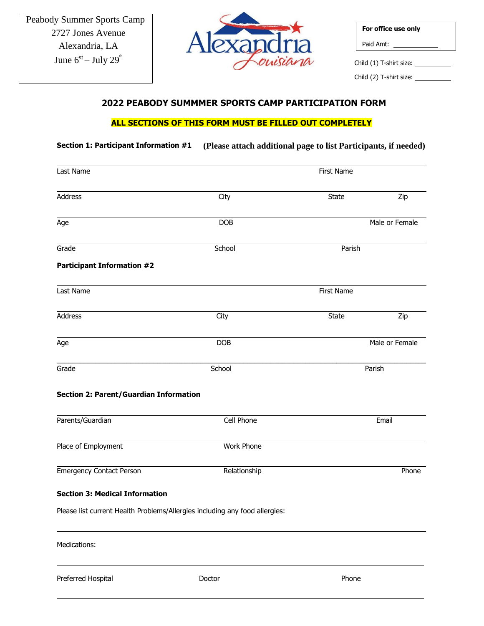

| For office use only     |
|-------------------------|
| Paid Amt:               |
| Child (1) T-shirt size: |

Child (2) T-shirt size: \_

# **2022 PEABODY SUMMMER SPORTS CAMP PARTICIPATION FORM**

# **ALL SECTIONS OF THIS FORM MUST BE FILLED OUT COMPLETELY**

# **Section 1: Participant Information #1 (Please attach additional page to list Participants, if needed)**

| Last Name                                                                   | First Name   |              |                |  |
|-----------------------------------------------------------------------------|--------------|--------------|----------------|--|
| Address                                                                     | City         | <b>State</b> | Zip            |  |
| Age                                                                         | DOB          |              | Male or Female |  |
| Grade                                                                       | School       | Parish       |                |  |
| <b>Participant Information #2</b>                                           |              |              |                |  |
| Last Name                                                                   |              | First Name   |                |  |
| <b>Address</b>                                                              | City         | <b>State</b> | Zip            |  |
| Age                                                                         | <b>DOB</b>   |              | Male or Female |  |
| Grade                                                                       | School       |              | Parish         |  |
| <b>Section 2: Parent/Guardian Information</b>                               |              |              |                |  |
| Parents/Guardian                                                            | Cell Phone   |              | Email          |  |
| Place of Employment                                                         | Work Phone   |              |                |  |
| <b>Emergency Contact Person</b>                                             | Relationship |              | Phone          |  |
| <b>Section 3: Medical Information</b>                                       |              |              |                |  |
| Please list current Health Problems/Allergies including any food allergies: |              |              |                |  |
| Medications:                                                                |              |              |                |  |
|                                                                             |              |              |                |  |

Preferred Hospital **Doctor Contact Phone Phone Phone Phone Phone Phone Phone**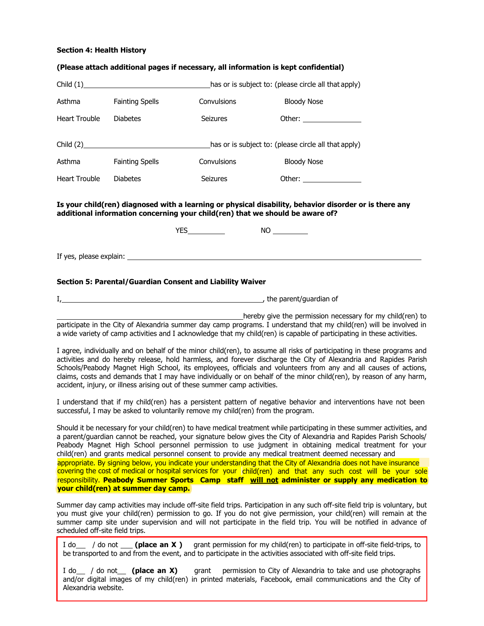## **Section 4: Health History**

#### **(Please attach additional pages if necessary, all information is kept confidential)**

|                                                      |                        | has or is subject to: (please circle all that apply) |                          |  |
|------------------------------------------------------|------------------------|------------------------------------------------------|--------------------------|--|
| Asthma                                               | <b>Fainting Spells</b> | Convulsions                                          | <b>Bloody Nose</b>       |  |
| <b>Heart Trouble</b>                                 | <b>Diabetes</b>        | <b>Seizures</b>                                      | Other: _________________ |  |
| has or is subject to: (please circle all that apply) |                        |                                                      |                          |  |
| Asthma                                               | <b>Fainting Spells</b> | Convulsions                                          | <b>Bloody Nose</b>       |  |
| <b>Heart Trouble</b>                                 | <b>Diabetes</b>        | <b>Seizures</b>                                      | Other: _________________ |  |

**Is your child(ren) diagnosed with a learning or physical disability, behavior disorder or is there any additional information concerning your child(ren) that we should be aware of?**

|                         | ν⊏ς | <b>NC</b> |  |
|-------------------------|-----|-----------|--|
|                         |     |           |  |
| If yes, please explain: |     |           |  |

## **Section 5: Parental/Guardian Consent and Liability Waiver**

I<sub>,</sub> the parent/guardian of

hereby give the permission necessary for my child(ren) to participate in the City of Alexandria summer day camp programs. I understand that my child(ren) will be involved in a wide variety of camp activities and I acknowledge that my child(ren) is capable of participating in these activities.

I agree, individually and on behalf of the minor child(ren), to assume all risks of participating in these programs and activities and do hereby release, hold harmless, and forever discharge the City of Alexandria and Rapides Parish Schools/Peabody Magnet High School, its employees, officials and volunteers from any and all causes of actions, claims, costs and demands that I may have individually or on behalf of the minor child(ren), by reason of any harm, accident, injury, or illness arising out of these summer camp activities.

I understand that if my child(ren) has a persistent pattern of negative behavior and interventions have not been successful, I may be asked to voluntarily remove my child(ren) from the program.

Should it be necessary for your child(ren) to have medical treatment while participating in these summer activities, and a parent/guardian cannot be reached, your signature below gives the City of Alexandria and Rapides Parish Schools/ Peabody Magnet High School personnel permission to use judgment in obtaining medical treatment for your child(ren) and grants medical personnel consent to provide any medical treatment deemed necessary and covering the cost of medical or hospital services for your child(ren) and that any such cost will be your sole responsibility. **Peabody Summer Sports Camp staff will not administer or supply any medication to your child(ren) at summer day camp.** appropriate. By signing below, you indicate your understanding that the City of Alexandria does not have insurance

Summer day camp activities may include off-site field trips. Participation in any such off-site field trip is voluntary, but you must give your child(ren) permission to go. If you do not give permission, your child(ren) will remain at the summer camp site under supervision and will not participate in the field trip. You will be notified in advance of scheduled off-site field trips.

**Please 1** do not **(place an X )** arant permission for my child(ren) to participate in off-site field-trips, to be transported to and from the event, and to participate in the activities associated with off-site field trips.

I do \_\_ / do not \_\_ (place an X) agrant permission to City of Alexandria to take and use photographs and/or digital images of my child(ren) in printed materials, Facebook, email communications and the City of Alexandria website.